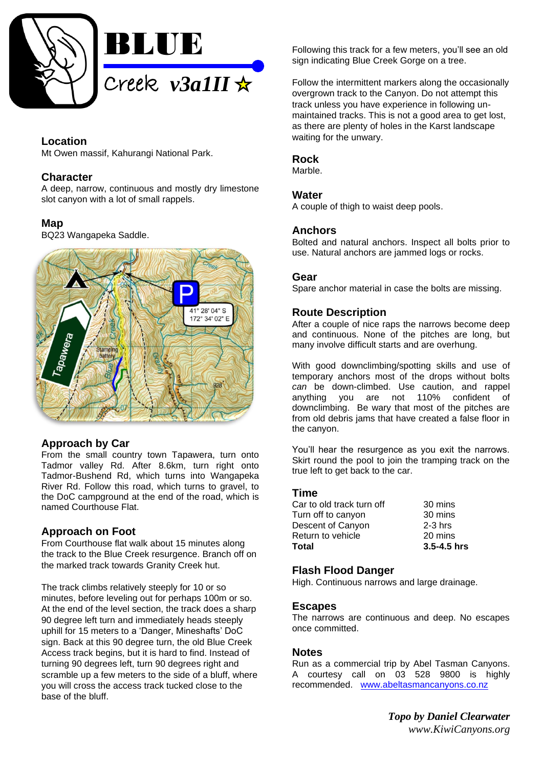

# **Location**

Mt Owen massif, Kahurangi National Park.

### **Character**

A deep, narrow, continuous and mostly dry limestone slot canyon with a lot of small rappels.

## **Map**

BQ23 Wangapeka Saddle.



## **Approach by Car**

From the small country town Tapawera, turn onto Tadmor valley Rd. After 8.6km, turn right onto Tadmor-Bushend Rd, which turns into Wangapeka River Rd. Follow this road, which turns to gravel, to the DoC campground at the end of the road, which is named Courthouse Flat.

## **Approach on Foot**

From Courthouse flat walk about 15 minutes along the track to the Blue Creek resurgence. Branch off on the marked track towards Granity Creek hut.

The track climbs relatively steeply for 10 or so minutes, before leveling out for perhaps 100m or so. At the end of the level section, the track does a sharp 90 degree left turn and immediately heads steeply uphill for 15 meters to a 'Danger, Mineshafts' DoC sign. Back at this 90 degree turn, the old Blue Creek Access track begins, but it is hard to find. Instead of turning 90 degrees left, turn 90 degrees right and scramble up a few meters to the side of a bluff, where you will cross the access track tucked close to the base of the bluff.

Following this track for a few meters, you'll see an old sign indicating Blue Creek Gorge on a tree.

Follow the intermittent markers along the occasionally overgrown track to the Canyon. Do not attempt this track unless you have experience in following unmaintained tracks. This is not a good area to get lost, as there are plenty of holes in the Karst landscape waiting for the unwary.

### **Rock**

Marble.

### **Water**

A couple of thigh to waist deep pools.

### **Anchors**

Bolted and natural anchors. Inspect all bolts prior to use. Natural anchors are jammed logs or rocks.

### **Gear**

Spare anchor material in case the bolts are missing.

### **Route Description**

After a couple of nice raps the narrows become deep and continuous. None of the pitches are long, but many involve difficult starts and are overhung.

With good downclimbing/spotting skills and use of temporary anchors most of the drops without bolts *can* be down-climbed. Use caution, and rappel anything you are not 110% confident of downclimbing. Be wary that most of the pitches are from old debris jams that have created a false floor in the canyon.

You'll hear the resurgence as you exit the narrows. Skirt round the pool to join the tramping track on the true left to get back to the car.

#### **Time**

| Total                     | $3.5 - 4.5$ hrs |
|---------------------------|-----------------|
| Return to vehicle         | 20 mins         |
| Descent of Canyon         | $2-3$ hrs       |
| Turn off to canyon        | 30 mins         |
| Car to old track turn off | 30 mins         |

## **Flash Flood Danger**

High. Continuous narrows and large drainage.

#### **Escapes**

The narrows are continuous and deep. No escapes once committed.

#### **Notes**

Run as a commercial trip by Abel Tasman Canyons. A courtesy call on 03 528 9800 is highly recommended. [www.abeltasmancanyons.co.nz](http://www.abeltasmancanyons.co.nz/)